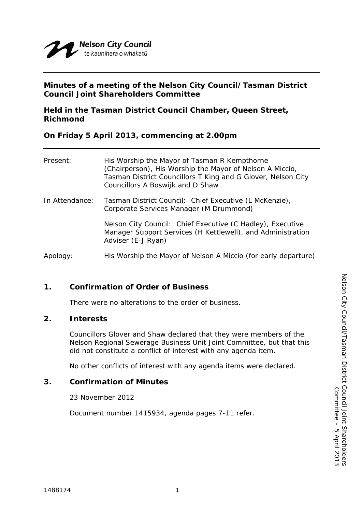

## **Minutes of a meeting of the Nelson City Council/Tasman District Council Joint Shareholders Committee**

**Held in the Tasman District Council Chamber, Queen Street, Richmond** 

**On Friday 5 April 2013, commencing at 2.00pm** 

| Present:       | His Worship the Mayor of Tasman R Kempthorne<br>(Chairperson), His Worship the Mayor of Nelson A Miccio,<br>Tasman District Councillors T King and G Glover, Nelson City<br>Councillors A Boswijk and D Shaw |  |
|----------------|--------------------------------------------------------------------------------------------------------------------------------------------------------------------------------------------------------------|--|
| In Attendance: | Tasman District Council: Chief Executive (L McKenzie),<br>Corporate Services Manager (M Drummond)                                                                                                            |  |
|                | Nelson City Council: Chief Executive (C Hadley), Executive<br>Manager Support Services (H Kettlewell), and Administration<br>Adviser (E-J Ryan)                                                              |  |
| Apology:       | His Worship the Mayor of Nelson A Miccio (for early departure)                                                                                                                                               |  |

# **1. Confirmation of Order of Business**

There were no alterations to the order of business.

## **2. Interests**

Councillors Glover and Shaw declared that they were members of the Nelson Regional Sewerage Business Unit Joint Committee, but that this did not constitute a conflict of interest with any agenda item.

No other conflicts of interest with any agenda items were declared.

#### **3. Confirmation of Minutes**

23 November 2012

Document number 1415934, agenda pages 7-11 refer.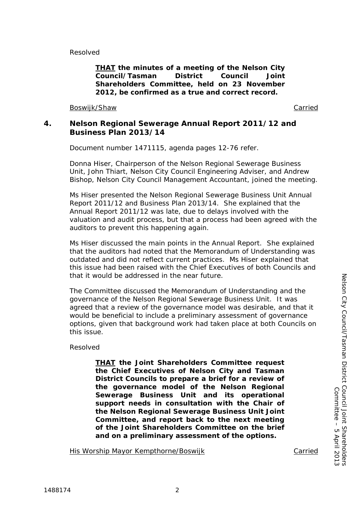Resolved

*THAT the minutes of a meeting of the Nelson City Council/Tasman District Council Joint Shareholders Committee, held on 23 November 2012, be confirmed as a true and correct record.* 

Boswijk/Shaw Carried Carried and the Carried Carried Carried Carried Carried Carried Carried Carried Carried Carried Carried Carried Carried Carried Carried Carried Carried Carried Carried Carried Carried Carried Carried C

## **4. Nelson Regional Sewerage Annual Report 2011/12 and Business Plan 2013/14**

Document number 1471115, agenda pages 12-76 refer.

Donna Hiser, Chairperson of the Nelson Regional Sewerage Business Unit, John Thiart, Nelson City Council Engineering Adviser, and Andrew Bishop, Nelson City Council Management Accountant, joined the meeting.

Ms Hiser presented the Nelson Regional Sewerage Business Unit Annual Report 2011/12 and Business Plan 2013/14. She explained that the Annual Report 2011/12 was late, due to delays involved with the valuation and audit process, but that a process had been agreed with the auditors to prevent this happening again.

Ms Hiser discussed the main points in the Annual Report. She explained that the auditors had noted that the Memorandum of Understanding was outdated and did not reflect current practices. Ms Hiser explained that this issue had been raised with the Chief Executives of both Councils and that it would be addressed in the near future.

The Committee discussed the Memorandum of Understanding and the governance of the Nelson Regional Sewerage Business Unit. It was agreed that a review of the governance model was desirable, and that it would be beneficial to include a preliminary assessment of governance options, given that background work had taken place at both Councils on this issue.

#### Resolved

*THAT the Joint Shareholders Committee request the Chief Executives of Nelson City and Tasman District Councils to prepare a brief for a review of the governance model of the Nelson Regional Sewerage Business Unit and its operational support needs in consultation with the Chair of the Nelson Regional Sewerage Business Unit Joint Committee, and report back to the next meeting of the Joint Shareholders Committee on the brief and on a preliminary assessment of the options.* 

His Worship Mayor Kempthorne/Boswijk Carried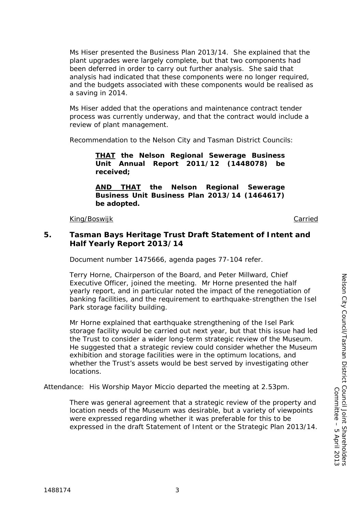Ms Hiser presented the Business Plan 2013/14. She explained that the plant upgrades were largely complete, but that two components had been deferred in order to carry out further analysis. She said that analysis had indicated that these components were no longer required, and the budgets associated with these components would be realised as a saving in 2014.

 Ms Hiser added that the operations and maintenance contract tender process was currently underway, and that the contract would include a review of plant management.

Recommendation to the Nelson City and Tasman District Councils:

*THAT the Nelson Regional Sewerage Business Unit Annual Report 2011/12 (1448078) be received;* 

*AND THAT the Nelson Regional Sewerage Business Unit Business Plan 2013/14 (1464617) be adopted.* 

King/Boswijk Carried

#### **5. Tasman Bays Heritage Trust Draft Statement of Intent and Half Yearly Report 2013/14**

Document number 1475666, agenda pages 77-104 refer.

Terry Horne, Chairperson of the Board, and Peter Millward, Chief Executive Officer, joined the meeting. Mr Horne presented the half yearly report, and in particular noted the impact of the renegotiation of banking facilities, and the requirement to earthquake-strengthen the Isel Park storage facility building.

Mr Horne explained that earthquake strengthening of the Isel Park storage facility would be carried out next year, but that this issue had led the Trust to consider a wider long-term strategic review of the Museum. He suggested that a strategic review could consider whether the Museum exhibition and storage facilities were in the optimum locations, and whether the Trust's assets would be best served by investigating other locations.

Attendance: His Worship Mayor Miccio departed the meeting at 2.53pm.

There was general agreement that a strategic review of the property and location needs of the Museum was desirable, but a variety of viewpoints were expressed regarding whether it was preferable for this to be expressed in the draft Statement of Intent or the Strategic Plan 2013/14.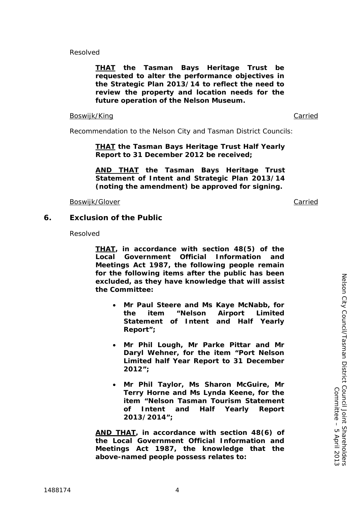Resolved

*THAT the Tasman Bays Heritage Trust be requested to alter the performance objectives in the Strategic Plan 2013/14 to reflect the need to review the property and location needs for the future operation of the Nelson Museum.* 

#### Boswijk/King Carried Carried Carried Carried Carried Carried Carried Carried Carried Carried Carried Carried Carried Carried Carried Carried Carried Carried Carried Carried Carried Carried Carried Carried Carried Carried C

Recommendation to the Nelson City and Tasman District Councils:

*THAT the Tasman Bays Heritage Trust Half Yearly Report to 31 December 2012 be received;* 

*AND THAT the Tasman Bays Heritage Trust Statement of Intent and Strategic Plan 2013/14 (noting the amendment) be approved for signing.* 

Boswijk/Glover **Carried Carried Carried Carried Carried Carried Carried Carried** 

#### **6. Exclusion of the Public**

Resolved

*THAT, in accordance with section 48(5) of the Local Government Official Information and Meetings Act 1987, the following people remain for the following items after the public has been excluded, as they have knowledge that will assist the Committee:* 

- *Mr Paul Steere and Ms Kaye McNabb, for the item "Nelson Airport Limited Statement of Intent and Half Yearly Report";*
- *Mr Phil Lough, Mr Parke Pittar and Mr Daryl Wehner, for the item "Port Nelson Limited half Year Report to 31 December 2012";*
- *Mr Phil Taylor, Ms Sharon McGuire, Mr Terry Horne and Ms Lynda Keene, for the item "Nelson Tasman Tourism Statement of Intent and Half Yearly Report 2013/2014";*

*AND THAT, in accordance with section 48(6) of the Local Government Official Information and Meetings Act 1987, the knowledge that the above-named people possess relates to:*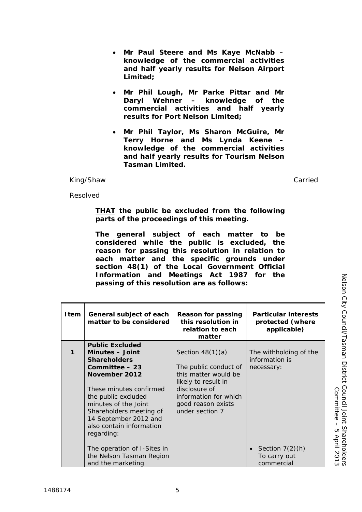## *Mr Paul Steere and Ms Kaye McNabb – knowledge of the commercial activities and half yearly results for Nelson Airport Limited;*

- *Mr Phil Lough, Mr Parke Pittar and Mr Daryl Wehner – knowledge of the commercial activities and half yearly results for Port Nelson Limited;*
- *Mr Phil Taylor, Ms Sharon McGuire, Mr Terry Horne and Ms Lynda Keene – knowledge of the commercial activities and half yearly results for Tourism Nelson Tasman Limited.*

#### King/Shaw Carried

Resolved

*THAT the public be excluded from the following parts of the proceedings of this meeting.* 

*The general subject of each matter to be considered while the public is excluded, the reason for passing this resolution in relation to each matter and the specific grounds under section 48(1) of the Local Government Official Information and Meetings Act 1987 for the passing of this resolution are as follows:* 

| <b>I</b> tem | General subject of each<br>matter to be considered                                                                                                                                                              | Reason for passing<br>this resolution in<br>relation to each<br>matter                                                                                                        | <b>Particular interests</b><br>protected (where<br>applicable) |
|--------------|-----------------------------------------------------------------------------------------------------------------------------------------------------------------------------------------------------------------|-------------------------------------------------------------------------------------------------------------------------------------------------------------------------------|----------------------------------------------------------------|
| 1            | <b>Public Excluded</b><br><b>Minutes – Joint</b><br><b>Shareholders</b><br>Committee - 23<br>November 2012<br>These minutes confirmed<br>the public excluded<br>minutes of the Joint<br>Shareholders meeting of | Section $48(1)(a)$<br>The public conduct of<br>this matter would be<br>likely to result in<br>disclosure of<br>information for which<br>good reason exists<br>under section 7 | The withholding of the<br>information is<br>necessary:         |
|              | 14 September 2012 and<br>also contain information<br>regarding:                                                                                                                                                 |                                                                                                                                                                               |                                                                |
|              | The operation of I-Sites in<br>the Nelson Tasman Region<br>and the marketing                                                                                                                                    |                                                                                                                                                                               | Section $7(2)(h)$<br>To carry out<br>commercial                |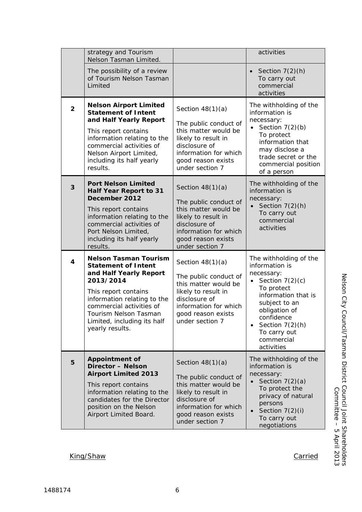|                | strategy and Tourism<br>Nelson Tasman Limited.                                                                                                                                                                                                                  |                                                                                                                                                                               | activities                                                                                                                                                                                                                                     |
|----------------|-----------------------------------------------------------------------------------------------------------------------------------------------------------------------------------------------------------------------------------------------------------------|-------------------------------------------------------------------------------------------------------------------------------------------------------------------------------|------------------------------------------------------------------------------------------------------------------------------------------------------------------------------------------------------------------------------------------------|
|                | The possibility of a review<br>of Tourism Nelson Tasman<br>Limited                                                                                                                                                                                              |                                                                                                                                                                               | Section $7(2)(h)$<br>To carry out<br>commercial<br>activities                                                                                                                                                                                  |
| $\overline{2}$ | <b>Nelson Airport Limited</b><br><b>Statement of Intent</b><br>and Half Yearly Report<br>This report contains<br>information relating to the<br>commercial activities of<br>Nelson Airport Limited,<br>including its half yearly<br>results.                    | Section $48(1)(a)$<br>The public conduct of<br>this matter would be<br>likely to result in<br>disclosure of<br>information for which<br>good reason exists<br>under section 7 | The withholding of the<br>information is<br>necessary:<br>Section $7(2)(b)$<br>To protect<br>information that<br>may disclose a<br>trade secret or the<br>commercial position<br>of a person                                                   |
| 3              | <b>Port Nelson Limited</b><br><b>Half Year Report to 31</b><br>December 2012<br>This report contains<br>information relating to the<br>commercial activities of<br>Port Nelson Limited,<br>including its half yearly<br>results.                                | Section $48(1)(a)$<br>The public conduct of<br>this matter would be<br>likely to result in<br>disclosure of<br>information for which<br>good reason exists<br>under section 7 | The withholding of the<br>information is<br>necessary:<br>Section $7(2)(h)$<br>$\bullet$<br>To carry out<br>commercial<br>activities                                                                                                           |
| $\overline{4}$ | <b>Nelson Tasman Tourism</b><br><b>Statement of Intent</b><br>and Half Yearly Report<br>2013/2014<br>This report contains<br>information relating to the<br>commercial activities of<br>Tourism Nelson Tasman<br>Limited, including its half<br>yearly results. | Section $48(1)(a)$<br>The public conduct of<br>this matter would be<br>likely to result in<br>disclosure of<br>information for which<br>good reason exists<br>under section 7 | The withholding of the<br>information is<br>necessary:<br>Section $7(2)(c)$<br>To protect<br>information that is<br>subject to an<br>obligation of<br>confidence<br>Section $7(2)(h)$<br>$\bullet$<br>To carry out<br>commercial<br>activities |
| 5              | <b>Appointment of</b><br><b>Director - Nelson</b><br><b>Airport Limited 2013</b><br>This report contains<br>information relating to the<br>candidates for the Director<br>position on the Nelson<br>Airport Limited Board.                                      | Section $48(1)(a)$<br>The public conduct of<br>this matter would be<br>likely to result in<br>disclosure of<br>information for which<br>good reason exists<br>under section 7 | The withholding of the<br>information is<br>necessary:<br>Section $7(2)(a)$<br>To protect the<br>privacy of natural<br>persons<br>Section 7(2)(i)<br>To carry out<br>negotiations                                                              |

King/Shaw Carried